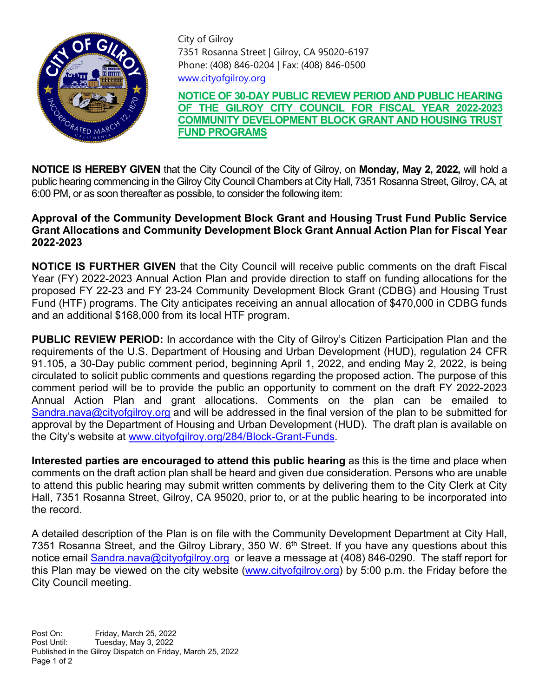

City of Gilroy 7351 Rosanna Street | Gilroy, CA 95020-6197 Phone: (408) 846-0204 | Fax: (408) 846-0500 [www.cityofgilroy.org](http://www.cityofgilroy.org/)

**NOTICE OF 30-DAY PUBLIC REVIEW PERIOD AND PUBLIC HEARING OF THE GILROY CITY COUNCIL FOR FISCAL YEAR 2022-2023 COMMUNITY DEVELOPMENT BLOCK GRANT AND HOUSING TRUST FUND PROGRAMS**

**NOTICE IS HEREBY GIVEN** that the City Council of the City of Gilroy, on **Monday, May 2, 2022,** will hold a public hearing commencing in the Gilroy City Council Chambers at City Hall, 7351 Rosanna Street, Gilroy, CA, at 6:00 PM, or as soon thereafter as possible, to consider the following item:

## **Approval of the Community Development Block Grant and Housing Trust Fund Public Service Grant Allocations and Community Development Block Grant Annual Action Plan for Fiscal Year 2022-2023**

**NOTICE IS FURTHER GIVEN** that the City Council will receive public comments on the draft Fiscal Year (FY) 2022-2023 Annual Action Plan and provide direction to staff on funding allocations for the proposed FY 22-23 and FY 23-24 Community Development Block Grant (CDBG) and Housing Trust Fund (HTF) programs. The City anticipates receiving an annual allocation of \$470,000 in CDBG funds and an additional \$168,000 from its local HTF program.

**PUBLIC REVIEW PERIOD:** In accordance with the City of Gilroy's Citizen Participation Plan and the requirements of the U.S. Department of Housing and Urban Development (HUD), regulation 24 CFR 91.105, a 30-Day public comment period, beginning April 1, 2022, and ending May 2, 2022, is being circulated to solicit public comments and questions regarding the proposed action. The purpose of this comment period will be to provide the public an opportunity to comment on the draft FY 2022-2023 Annual Action Plan and grant allocations. Comments on the plan can be emailed to [Sandra.nava@cityofgilroy.org](mailto:Sandra.nava@cityofgilroy.org) and will be addressed in the final version of the plan to be submitted for approval by the Department of Housing and Urban Development (HUD). The draft plan is available on the City's website at [www.cityofgilroy.org/284/Block-Grant-Funds.](http://www.cityofgilroy.org/284/Block-Grant-Funds)

**Interested parties are encouraged to attend this public hearing** as this is the time and place when comments on the draft action plan shall be heard and given due consideration. Persons who are unable to attend this public hearing may submit written comments by delivering them to the City Clerk at City Hall, 7351 Rosanna Street, Gilroy, CA 95020, prior to, or at the public hearing to be incorporated into the record.

A detailed description of the Plan is on file with the Community Development Department at City Hall, 7351 Rosanna Street, and the Gilroy Library, 350 W. 6<sup>th</sup> Street. If you have any questions about this notice email [Sandra.nava@cityofgilroy.org](mailto:Sandra.nava@cityofgilroy.org) or leave a message at (408) 846-0290. The staff report for this Plan may be viewed on the city website [\(www.cityofgilroy.org\)](http://www.cityofgilroy.org/) by 5:00 p.m. the Friday before the City Council meeting.